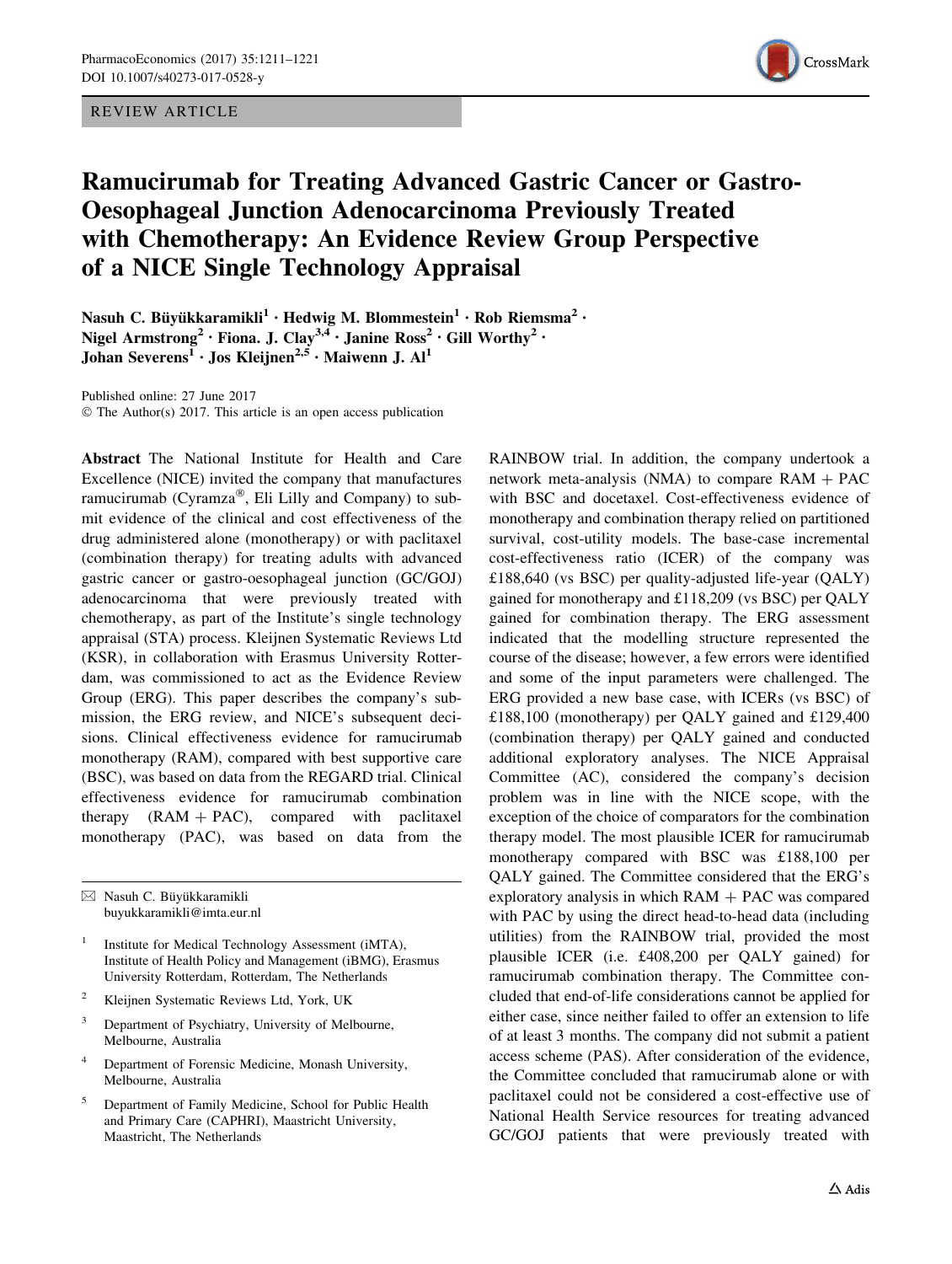## REVIEW ARTICLE



# Ramucirumab for Treating Advanced Gastric Cancer or Gastro-Oesophageal Junction Adenocarcinoma Previously Treated with Chemotherapy: An Evidence Review Group Perspective of a NICE Single Technology Appraisal

Nasuh C. Büyükkaramikli<sup>1</sup> · Hedwig M. Blommestein<sup>1</sup> · Rob Riemsma<sup>2</sup> · Nigel Armstrong<sup>2</sup> · Fiona. J. Clay<sup>3,4</sup> · Janine Ross<sup>2</sup> · Gill Worthy<sup>2</sup> · Johan Severens<sup>1</sup> · Jos Kleijnen<sup>2,5</sup> · Maiwenn J. Al<sup>1</sup>

Published online: 27 June 2017 © The Author(s) 2017. This article is an open access publication

Abstract The National Institute for Health and Care Excellence (NICE) invited the company that manufactures ramucirumab (Cyramza®, Eli Lilly and Company) to submit evidence of the clinical and cost effectiveness of the drug administered alone (monotherapy) or with paclitaxel (combination therapy) for treating adults with advanced gastric cancer or gastro-oesophageal junction (GC/GOJ) adenocarcinoma that were previously treated with chemotherapy, as part of the Institute's single technology appraisal (STA) process. Kleijnen Systematic Reviews Ltd (KSR), in collaboration with Erasmus University Rotterdam, was commissioned to act as the Evidence Review Group (ERG). This paper describes the company's submission, the ERG review, and NICE's subsequent decisions. Clinical effectiveness evidence for ramucirumab monotherapy (RAM), compared with best supportive care (BSC), was based on data from the REGARD trial. Clinical effectiveness evidence for ramucirumab combination therapy  $(RAM + PAC)$ , compared with paclitaxel monotherapy (PAC), was based on data from the

 $\boxtimes$  Nasuh C. Büyükkaramikli buyukkaramikli@imta.eur.nl

- Institute for Medical Technology Assessment (iMTA), Institute of Health Policy and Management (iBMG), Erasmus University Rotterdam, Rotterdam, The Netherlands
- <sup>2</sup> Kleijnen Systematic Reviews Ltd, York, UK
- <sup>3</sup> Department of Psychiatry, University of Melbourne, Melbourne, Australia
- Department of Forensic Medicine, Monash University, Melbourne, Australia
- <sup>5</sup> Department of Family Medicine, School for Public Health and Primary Care (CAPHRI), Maastricht University, Maastricht, The Netherlands

RAINBOW trial. In addition, the company undertook a network meta-analysis (NMA) to compare  $RAM + PAC$ with BSC and docetaxel. Cost-effectiveness evidence of monotherapy and combination therapy relied on partitioned survival, cost-utility models. The base-case incremental cost-effectiveness ratio (ICER) of the company was £188,640 (vs BSC) per quality-adjusted life-year (QALY) gained for monotherapy and £118,209 (vs BSC) per QALY gained for combination therapy. The ERG assessment indicated that the modelling structure represented the course of the disease; however, a few errors were identified and some of the input parameters were challenged. The ERG provided a new base case, with ICERs (vs BSC) of £188,100 (monotherapy) per QALY gained and £129,400 (combination therapy) per QALY gained and conducted additional exploratory analyses. The NICE Appraisal Committee (AC), considered the company's decision problem was in line with the NICE scope, with the exception of the choice of comparators for the combination therapy model. The most plausible ICER for ramucirumab monotherapy compared with BSC was £188,100 per QALY gained. The Committee considered that the ERG's exploratory analysis in which  $RAM + PAC$  was compared with PAC by using the direct head-to-head data (including utilities) from the RAINBOW trial, provided the most plausible ICER (i.e. £408,200 per QALY gained) for ramucirumab combination therapy. The Committee concluded that end-of-life considerations cannot be applied for either case, since neither failed to offer an extension to life of at least 3 months. The company did not submit a patient access scheme (PAS). After consideration of the evidence, the Committee concluded that ramucirumab alone or with paclitaxel could not be considered a cost-effective use of National Health Service resources for treating advanced GC/GOJ patients that were previously treated with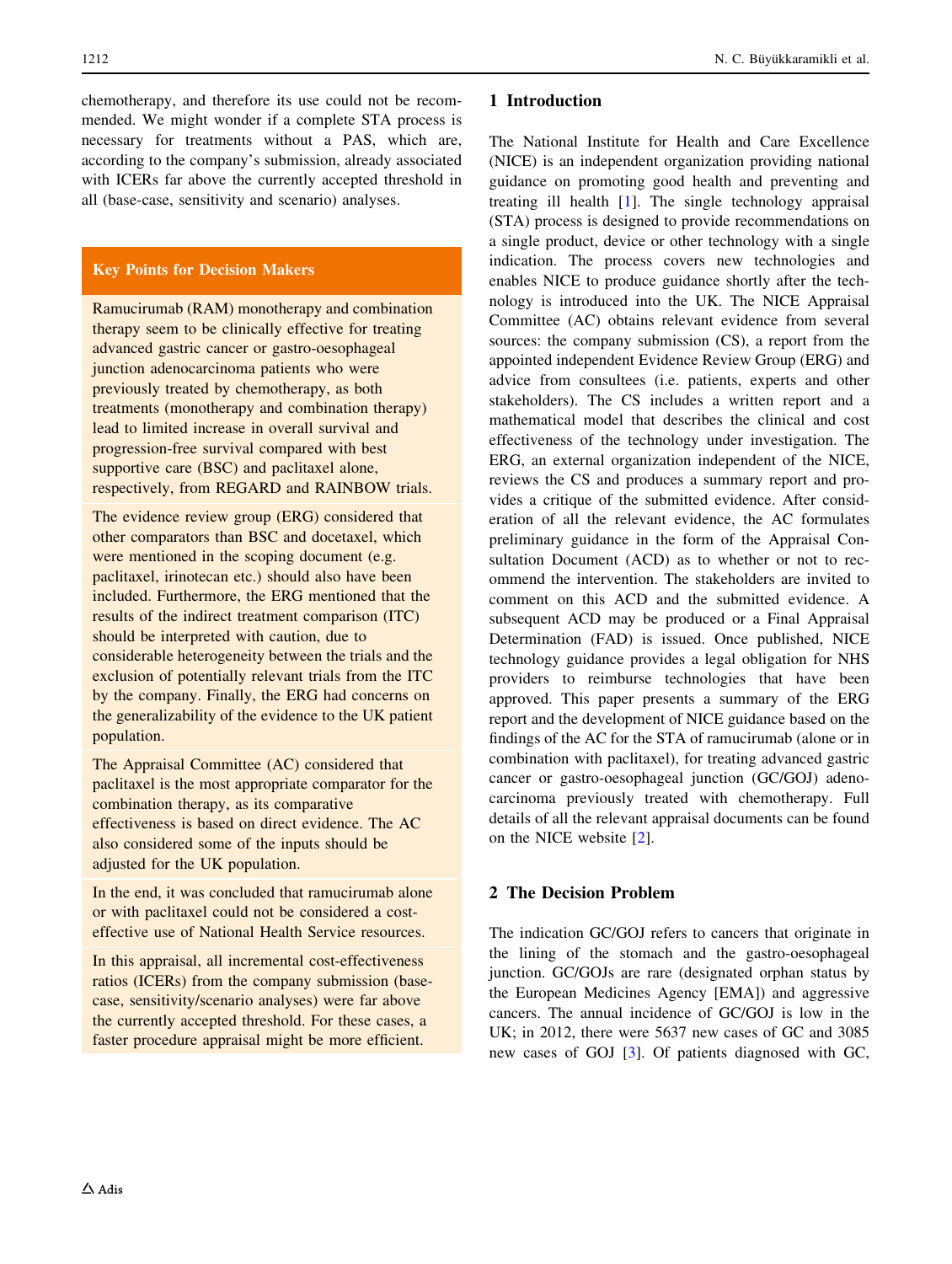chemotherapy, and therefore its use could not be recommended. We might wonder if a complete STA process is necessary for treatments without a PAS, which are, according to the company's submission, already associated with ICERs far above the currently accepted threshold in all (base-case, sensitivity and scenario) analyses.

# Key Points for Decision Makers

Ramucirumab (RAM) monotherapy and combination therapy seem to be clinically effective for treating advanced gastric cancer or gastro-oesophageal junction adenocarcinoma patients who were previously treated by chemotherapy, as both treatments (monotherapy and combination therapy) lead to limited increase in overall survival and progression-free survival compared with best supportive care (BSC) and paclitaxel alone, respectively, from REGARD and RAINBOW trials.

The evidence review group (ERG) considered that other comparators than BSC and docetaxel, which were mentioned in the scoping document (e.g. paclitaxel, irinotecan etc.) should also have been included. Furthermore, the ERG mentioned that the results of the indirect treatment comparison (ITC) should be interpreted with caution, due to considerable heterogeneity between the trials and the exclusion of potentially relevant trials from the ITC by the company. Finally, the ERG had concerns on the generalizability of the evidence to the UK patient population.

The Appraisal Committee (AC) considered that paclitaxel is the most appropriate comparator for the combination therapy, as its comparative effectiveness is based on direct evidence. The AC also considered some of the inputs should be adjusted for the UK population.

In the end, it was concluded that ramucirumab alone or with paclitaxel could not be considered a costeffective use of National Health Service resources.

In this appraisal, all incremental cost-effectiveness ratios (ICERs) from the company submission (basecase, sensitivity/scenario analyses) were far above the currently accepted threshold. For these cases, a faster procedure appraisal might be more efficient.

## 1 Introduction

The National Institute for Health and Care Excellence (NICE) is an independent organization providing national guidance on promoting good health and preventing and treating ill health [\[1](#page-9-0)]. The single technology appraisal (STA) process is designed to provide recommendations on a single product, device or other technology with a single indication. The process covers new technologies and enables NICE to produce guidance shortly after the technology is introduced into the UK. The NICE Appraisal Committee (AC) obtains relevant evidence from several sources: the company submission (CS), a report from the appointed independent Evidence Review Group (ERG) and advice from consultees (i.e. patients, experts and other stakeholders). The CS includes a written report and a mathematical model that describes the clinical and cost effectiveness of the technology under investigation. The ERG, an external organization independent of the NICE, reviews the CS and produces a summary report and provides a critique of the submitted evidence. After consideration of all the relevant evidence, the AC formulates preliminary guidance in the form of the Appraisal Consultation Document (ACD) as to whether or not to recommend the intervention. The stakeholders are invited to comment on this ACD and the submitted evidence. A subsequent ACD may be produced or a Final Appraisal Determination (FAD) is issued. Once published, NICE technology guidance provides a legal obligation for NHS providers to reimburse technologies that have been approved. This paper presents a summary of the ERG report and the development of NICE guidance based on the findings of the AC for the STA of ramucirumab (alone or in combination with paclitaxel), for treating advanced gastric cancer or gastro-oesophageal junction (GC/GOJ) adenocarcinoma previously treated with chemotherapy. Full details of all the relevant appraisal documents can be found on the NICE website [[2\]](#page-9-0).

# 2 The Decision Problem

The indication GC/GOJ refers to cancers that originate in the lining of the stomach and the gastro-oesophageal junction. GC/GOJs are rare (designated orphan status by the European Medicines Agency [EMA]) and aggressive cancers. The annual incidence of GC/GOJ is low in the UK; in 2012, there were 5637 new cases of GC and 3085 new cases of GOJ [[3\]](#page-9-0). Of patients diagnosed with GC,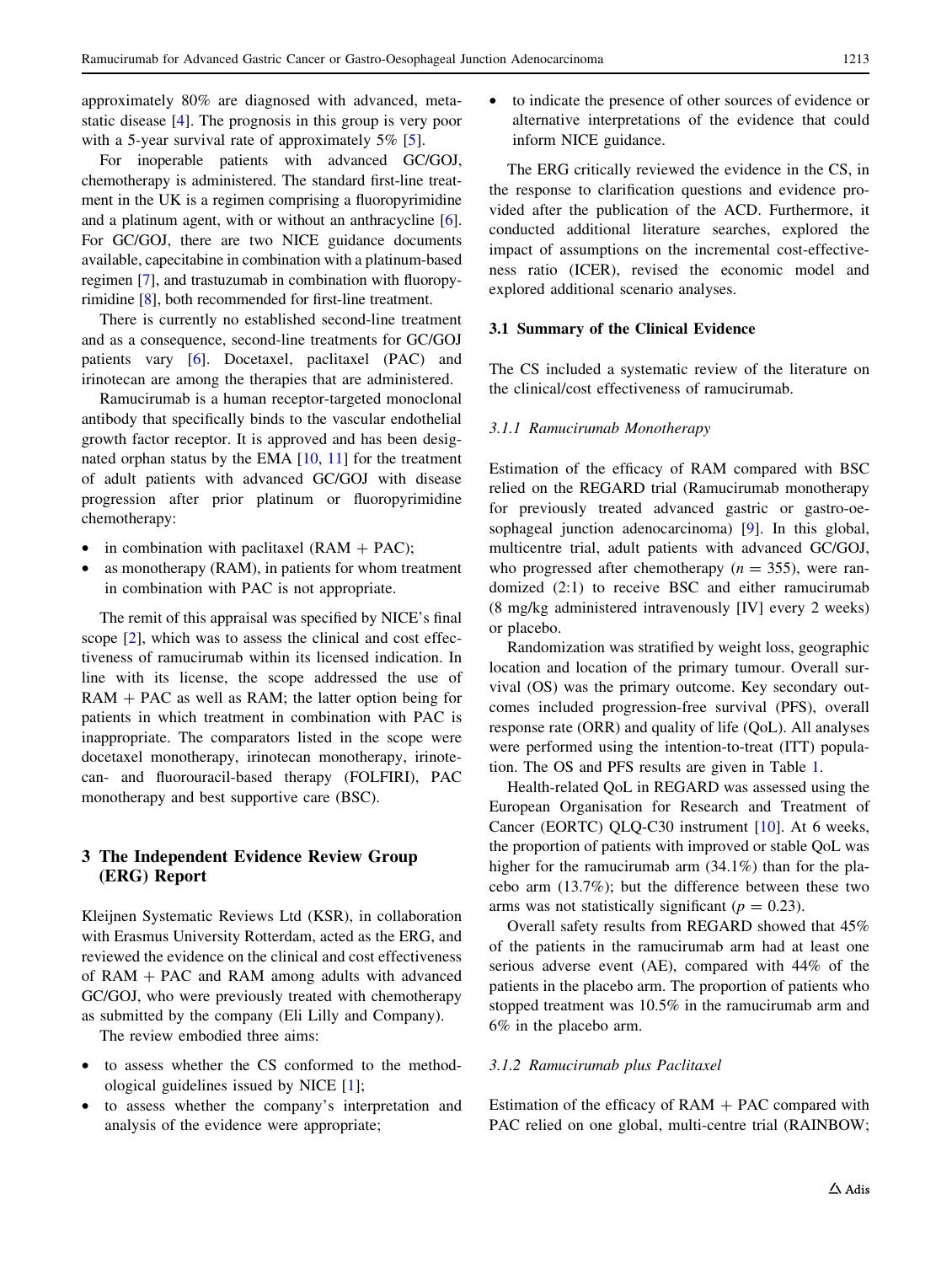approximately 80% are diagnosed with advanced, metastatic disease [[4\]](#page-9-0). The prognosis in this group is very poor with a 5-year survival rate of approximately 5% [[5\]](#page-9-0).

For inoperable patients with advanced GC/GOJ, chemotherapy is administered. The standard first-line treatment in the UK is a regimen comprising a fluoropyrimidine and a platinum agent, with or without an anthracycline [[6](#page-9-0)]. For GC/GOJ, there are two NICE guidance documents available, capecitabine in combination with a platinum-based regimen [\[7](#page-9-0)], and trastuzumab in combination with fluoropyrimidine [\[8](#page-9-0)], both recommended for first-line treatment.

There is currently no established second-line treatment and as a consequence, second-line treatments for GC/GOJ patients vary [[6\]](#page-9-0). Docetaxel, paclitaxel (PAC) and irinotecan are among the therapies that are administered.

Ramucirumab is a human receptor-targeted monoclonal antibody that specifically binds to the vascular endothelial growth factor receptor. It is approved and has been designated orphan status by the EMA  $[10, 11]$  $[10, 11]$  $[10, 11]$  for the treatment of adult patients with advanced GC/GOJ with disease progression after prior platinum or fluoropyrimidine chemotherapy:

- in combination with paclitaxel  $(RAM + PAC)$ ;
- as monotherapy (RAM), in patients for whom treatment in combination with PAC is not appropriate.

The remit of this appraisal was specified by NICE's final scope [\[2](#page-9-0)], which was to assess the clinical and cost effectiveness of ramucirumab within its licensed indication. In line with its license, the scope addressed the use of  $RAM + PAC$  as well as RAM; the latter option being for patients in which treatment in combination with PAC is inappropriate. The comparators listed in the scope were docetaxel monotherapy, irinotecan monotherapy, irinotecan- and fluorouracil-based therapy (FOLFIRI), PAC monotherapy and best supportive care (BSC).

# 3 The Independent Evidence Review Group (ERG) Report

Kleijnen Systematic Reviews Ltd (KSR), in collaboration with Erasmus University Rotterdam, acted as the ERG, and reviewed the evidence on the clinical and cost effectiveness of  $RAM + PAC$  and  $RAM$  among adults with advanced GC/GOJ, who were previously treated with chemotherapy as submitted by the company (Eli Lilly and Company).

The review embodied three aims:

- to assess whether the CS conformed to the methodological guidelines issued by NICE [\[1](#page-9-0)];
- to assess whether the company's interpretation and analysis of the evidence were appropriate;

• to indicate the presence of other sources of evidence or alternative interpretations of the evidence that could inform NICE guidance.

The ERG critically reviewed the evidence in the CS, in the response to clarification questions and evidence provided after the publication of the ACD. Furthermore, it conducted additional literature searches, explored the impact of assumptions on the incremental cost-effectiveness ratio (ICER), revised the economic model and explored additional scenario analyses.

## 3.1 Summary of the Clinical Evidence

The CS included a systematic review of the literature on the clinical/cost effectiveness of ramucirumab.

## 3.1.1 Ramucirumab Monotherapy

Estimation of the efficacy of RAM compared with BSC relied on the REGARD trial (Ramucirumab monotherapy for previously treated advanced gastric or gastro-oesophageal junction adenocarcinoma) [\[9](#page-9-0)]. In this global, multicentre trial, adult patients with advanced GC/GOJ, who progressed after chemotherapy ( $n = 355$ ), were randomized (2:1) to receive BSC and either ramucirumab (8 mg/kg administered intravenously [IV] every 2 weeks) or placebo.

Randomization was stratified by weight loss, geographic location and location of the primary tumour. Overall survival (OS) was the primary outcome. Key secondary outcomes included progression-free survival (PFS), overall response rate (ORR) and quality of life (QoL). All analyses were performed using the intention-to-treat (ITT) population. The OS and PFS results are given in Table [1.](#page-3-0)

Health-related QoL in REGARD was assessed using the European Organisation for Research and Treatment of Cancer (EORTC) QLQ-C30 instrument [\[10](#page-9-0)]. At 6 weeks, the proportion of patients with improved or stable QoL was higher for the ramucirumab arm (34.1%) than for the placebo arm (13.7%); but the difference between these two arms was not statistically significant ( $p = 0.23$ ).

Overall safety results from REGARD showed that 45% of the patients in the ramucirumab arm had at least one serious adverse event (AE), compared with 44% of the patients in the placebo arm. The proportion of patients who stopped treatment was 10.5% in the ramucirumab arm and 6% in the placebo arm.

## 3.1.2 Ramucirumab plus Paclitaxel

Estimation of the efficacy of  $RAM + PAC$  compared with PAC relied on one global, multi-centre trial (RAINBOW;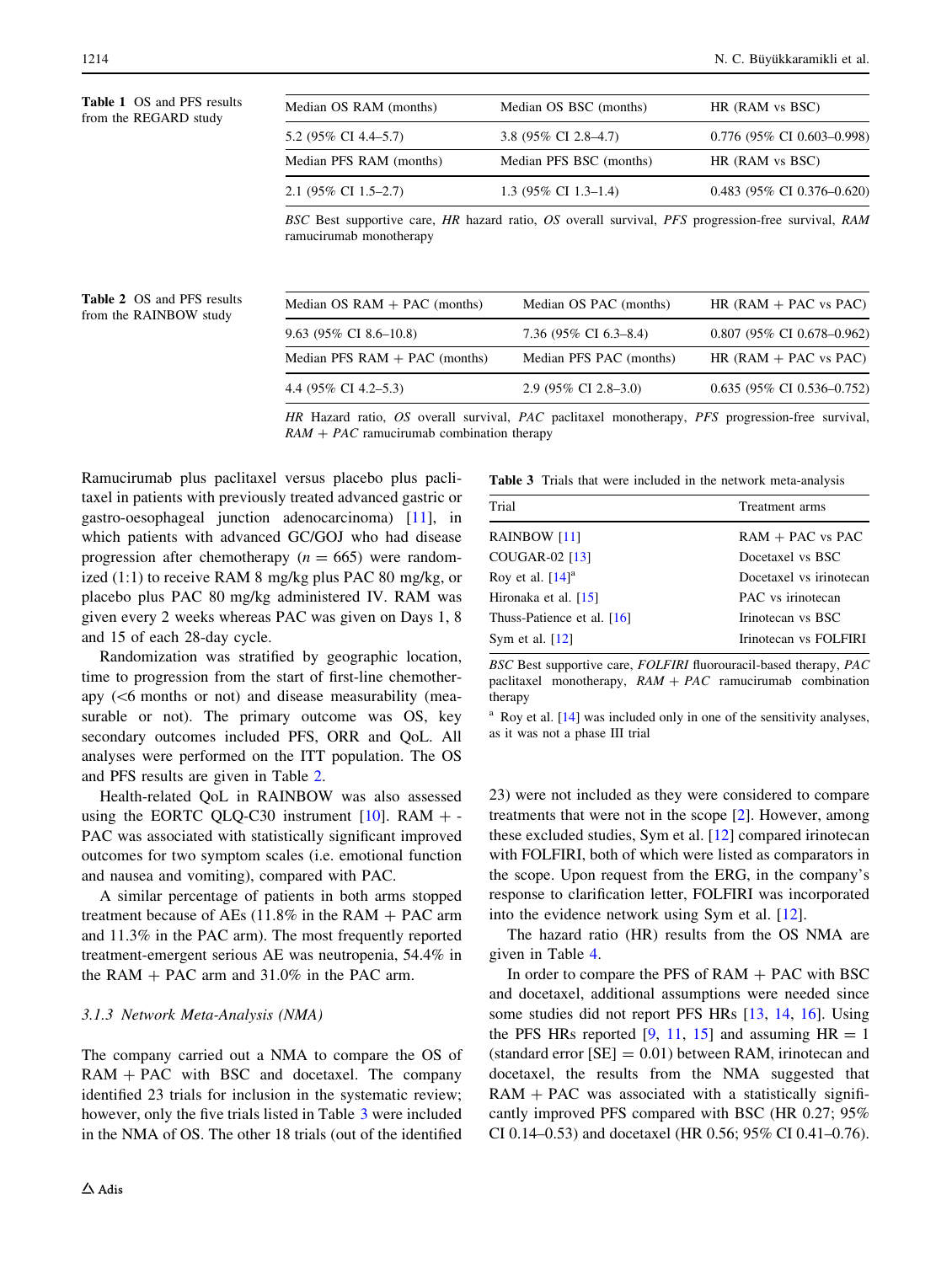<span id="page-3-0"></span>Table 1 OS and PFS results **Table 1** OS and PFS results  $M_{\text{e}}$  from the REGARD study

| Median OS RAM (months)  | Median OS BSC (months)          | HR (RAM vs BSC)              |
|-------------------------|---------------------------------|------------------------------|
| 5.2 (95% CI 4.4–5.7)    | 3.8 (95% CI 2.8–4.7)            | $0.776$ (95% CI 0.603-0.998) |
| Median PFS RAM (months) | Median PFS BSC (months)         | HR (RAM vs BSC)              |
| 2.1 (95% CI 1.5–2.7)    | 1.3 $(95\% \text{ CI} 1.3-1.4)$ | $0.483$ (95% CI 0.376-0.620) |

BSC Best supportive care, HR hazard ratio, OS overall survival, PFS progression-free survival, RAM ramucirumab monotherapy

## Table 2 OS and PFS results from the RAINBOW study

| Median OS $RAM + PAC$ (months)  | Median OS PAC (months)  | HR $(RAM + PAC \text{ vs } PAC)$ |
|---------------------------------|-------------------------|----------------------------------|
| 9.63 (95% CI 8.6–10.8)          | 7.36 (95% CI 6.3–8.4)   | 0.807 (95% CI 0.678-0.962)       |
| Median PFS $RAM + PAC$ (months) | Median PFS PAC (months) | HR $(RAM + PAC \text{ vs } PAC)$ |
| 4.4 (95% CI 4.2–5.3)            | 2.9 (95% CI 2.8–3.0)    | $0.635$ (95% CI 0.536-0.752)     |
|                                 |                         |                                  |

HR Hazard ratio, OS overall survival, PAC paclitaxel monotherapy, PFS progression-free survival,  $RAM + PAC$  ramucirumab combination therapy

Ramucirumab plus paclitaxel versus placebo plus paclitaxel in patients with previously treated advanced gastric or gastro-oesophageal junction adenocarcinoma) [\[11\]](#page-9-0), in which patients with advanced GC/GOJ who had disease progression after chemotherapy ( $n = 665$ ) were randomized (1:1) to receive RAM 8 mg/kg plus PAC 80 mg/kg, or placebo plus PAC 80 mg/kg administered IV. RAM was given every 2 weeks whereas PAC was given on Days 1, 8 and 15 of each 28-day cycle.

Randomization was stratified by geographic location, time to progression from the start of first-line chemotherapy  $( $6$  months or not) and disease measurability (mea$ surable or not). The primary outcome was OS, key secondary outcomes included PFS, ORR and QoL. All analyses were performed on the ITT population. The OS and PFS results are given in Table 2.

Health-related QoL in RAINBOW was also assessed using the EORTC QLQ-C30 instrument  $[10]$  $[10]$ . RAM  $+$  -PAC was associated with statistically significant improved outcomes for two symptom scales (i.e. emotional function and nausea and vomiting), compared with PAC.

A similar percentage of patients in both arms stopped treatment because of AEs  $(11.8\% \text{ in the RAM} + \text{PAC arm})$ and 11.3% in the PAC arm). The most frequently reported treatment-emergent serious AE was neutropenia, 54.4% in the RAM  $+$  PAC arm and 31.0% in the PAC arm.

## 3.1.3 Network Meta-Analysis (NMA)

The company carried out a NMA to compare the OS of  $RAM + PAC$  with BSC and docetaxel. The company identified 23 trials for inclusion in the systematic review; however, only the five trials listed in Table 3 were included in the NMA of OS. The other 18 trials (out of the identified Table 3 Trials that were included in the network meta-analysis

| Trial                          | Treatment arms          |  |
|--------------------------------|-------------------------|--|
| <b>RAINBOW</b> [11]            | $RAM + PAC$ vs PAC      |  |
| COUGAR-02 [13]                 | Docetaxel vs BSC        |  |
| Roy et al. $[14]$ <sup>a</sup> | Docetaxel vs irinotecan |  |
| Hironaka et al. [15]           | PAC vs irinotecan       |  |
| Thuss-Patience et al. [16]     | Irinotecan vs BSC       |  |
| Sym et al. $[12]$              | Irinotecan vs FOLFIRI   |  |
|                                |                         |  |

BSC Best supportive care, FOLFIRI fluorouracil-based therapy, PAC paclitaxel monotherapy,  $RAM + PAC$  ramucirumab combination therapy

<sup>a</sup> Roy et al. [[14](#page-9-0)] was included only in one of the sensitivity analyses, as it was not a phase III trial

23) were not included as they were considered to compare treatments that were not in the scope [\[2](#page-9-0)]. However, among these excluded studies, Sym et al. [\[12](#page-9-0)] compared irinotecan with FOLFIRI, both of which were listed as comparators in the scope. Upon request from the ERG, in the company's response to clarification letter, FOLFIRI was incorporated into the evidence network using Sym et al. [\[12](#page-9-0)].

The hazard ratio (HR) results from the OS NMA are given in Table [4](#page-4-0).

In order to compare the PFS of  $RAM + PAC$  with BSC and docetaxel, additional assumptions were needed since some studies did not report PFS HRs [\[13](#page-9-0), [14,](#page-9-0) [16\]](#page-9-0). Using the PFS HRs reported [\[9](#page-9-0), [11,](#page-9-0) [15](#page-9-0)] and assuming  $HR = 1$ (standard error  $[SE] = 0.01$ ) between RAM, irinotecan and docetaxel, the results from the NMA suggested that  $RAM + PAC$  was associated with a statistically significantly improved PFS compared with BSC (HR 0.27; 95% CI 0.14–0.53) and docetaxel (HR 0.56; 95% CI 0.41–0.76).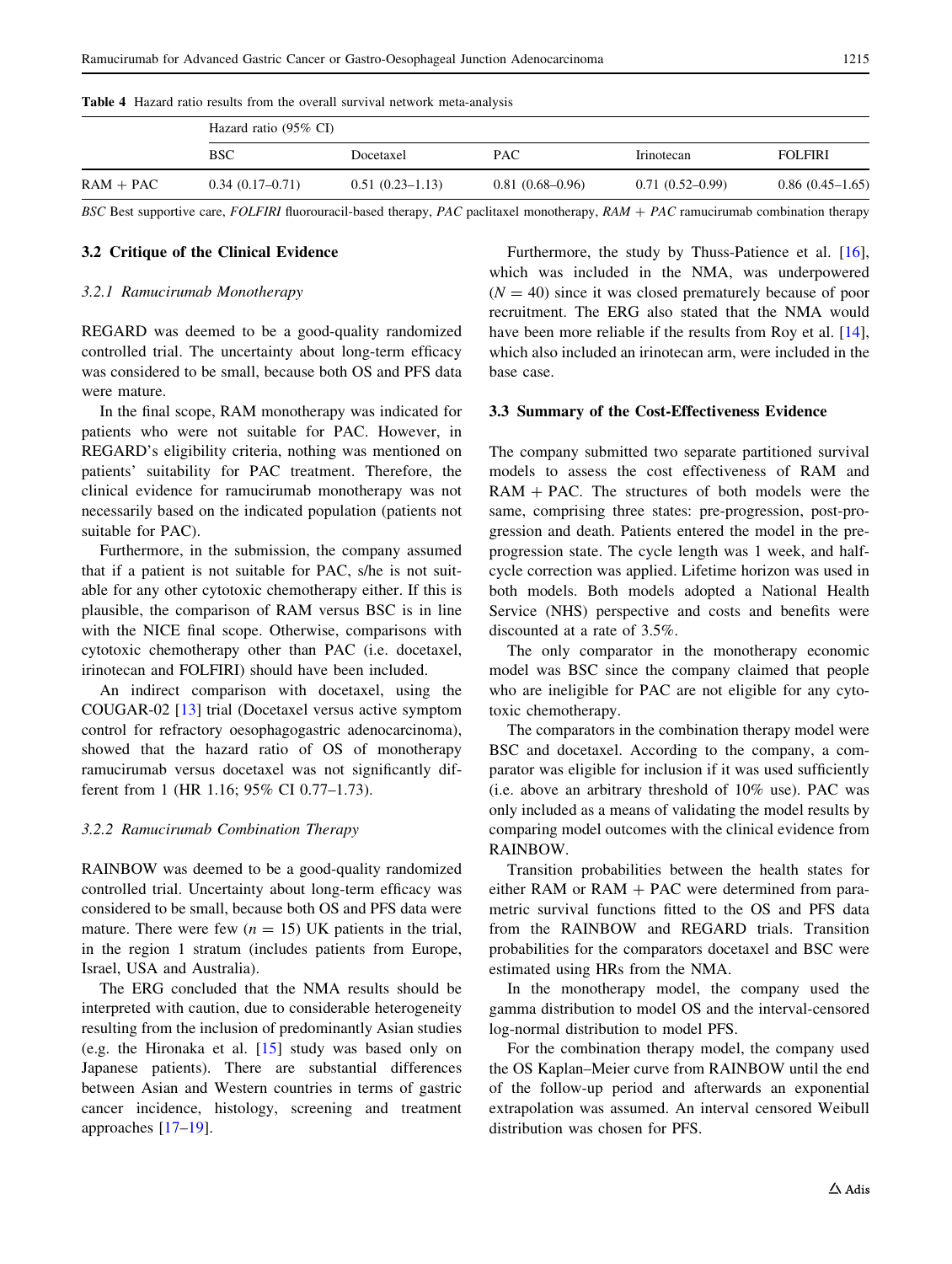<span id="page-4-0"></span>

|                                           | Hazard ratio $(95\% \text{ CI})$                 |                   |                   |                     |                   |
|-------------------------------------------|--------------------------------------------------|-------------------|-------------------|---------------------|-------------------|
|                                           | <b>BSC</b>                                       | Docetaxel         | <b>PAC</b>        | <i>Irinotecan</i>   | <b>FOLFIRI</b>    |
| $RAM + PAC$                               | $0.34(0.17-0.71)$                                | $0.51(0.23-1.13)$ | $0.81(0.68-0.96)$ | $0.71(0.52 - 0.99)$ | $0.86(0.45-1.65)$ |
| $\sim$ $\sim$ $\sim$ $\sim$ $\sim$ $\sim$ | <b><i><u><u><u><u></u>novent</u></u></u></i></b> | .                 |                   |                     |                   |

BSC Best supportive care, FOLFIRI fluorouracil-based therapy, PAC paclitaxel monotherapy,  $RAM + PAC$  ramucirumab combination therapy

## 3.2 Critique of the Clinical Evidence

#### 3.2.1 Ramucirumab Monotherapy

REGARD was deemed to be a good-quality randomized controlled trial. The uncertainty about long-term efficacy was considered to be small, because both OS and PFS data were mature.

In the final scope, RAM monotherapy was indicated for patients who were not suitable for PAC. However, in REGARD's eligibility criteria, nothing was mentioned on patients' suitability for PAC treatment. Therefore, the clinical evidence for ramucirumab monotherapy was not necessarily based on the indicated population (patients not suitable for PAC).

Furthermore, in the submission, the company assumed that if a patient is not suitable for PAC, s/he is not suitable for any other cytotoxic chemotherapy either. If this is plausible, the comparison of RAM versus BSC is in line with the NICE final scope. Otherwise, comparisons with cytotoxic chemotherapy other than PAC (i.e. docetaxel, irinotecan and FOLFIRI) should have been included.

An indirect comparison with docetaxel, using the COUGAR-02 [[13\]](#page-9-0) trial (Docetaxel versus active symptom control for refractory oesophagogastric adenocarcinoma), showed that the hazard ratio of OS of monotherapy ramucirumab versus docetaxel was not significantly different from 1 (HR 1.16; 95% CI 0.77–1.73).

#### 3.2.2 Ramucirumab Combination Therapy

RAINBOW was deemed to be a good-quality randomized controlled trial. Uncertainty about long-term efficacy was considered to be small, because both OS and PFS data were mature. There were few  $(n = 15)$  UK patients in the trial, in the region 1 stratum (includes patients from Europe, Israel, USA and Australia).

The ERG concluded that the NMA results should be interpreted with caution, due to considerable heterogeneity resulting from the inclusion of predominantly Asian studies (e.g. the Hironaka et al. [\[15](#page-9-0)] study was based only on Japanese patients). There are substantial differences between Asian and Western countries in terms of gastric cancer incidence, histology, screening and treatment approaches [[17–19\]](#page-10-0).

Furthermore, the study by Thuss-Patience et al. [\[16](#page-9-0)], which was included in the NMA, was underpowered  $(N = 40)$  since it was closed prematurely because of poor recruitment. The ERG also stated that the NMA would have been more reliable if the results from Roy et al. [\[14](#page-9-0)], which also included an irinotecan arm, were included in the base case.

#### 3.3 Summary of the Cost-Effectiveness Evidence

The company submitted two separate partitioned survival models to assess the cost effectiveness of RAM and  $RAM + PAC$ . The structures of both models were the same, comprising three states: pre-progression, post-progression and death. Patients entered the model in the preprogression state. The cycle length was 1 week, and halfcycle correction was applied. Lifetime horizon was used in both models. Both models adopted a National Health Service (NHS) perspective and costs and benefits were discounted at a rate of 3.5%.

The only comparator in the monotherapy economic model was BSC since the company claimed that people who are ineligible for PAC are not eligible for any cytotoxic chemotherapy.

The comparators in the combination therapy model were BSC and docetaxel. According to the company, a comparator was eligible for inclusion if it was used sufficiently (i.e. above an arbitrary threshold of 10% use). PAC was only included as a means of validating the model results by comparing model outcomes with the clinical evidence from RAINBOW.

Transition probabilities between the health states for either RAM or  $RAM + PAC$  were determined from parametric survival functions fitted to the OS and PFS data from the RAINBOW and REGARD trials. Transition probabilities for the comparators docetaxel and BSC were estimated using HRs from the NMA.

In the monotherapy model, the company used the gamma distribution to model OS and the interval-censored log-normal distribution to model PFS.

For the combination therapy model, the company used the OS Kaplan–Meier curve from RAINBOW until the end of the follow-up period and afterwards an exponential extrapolation was assumed. An interval censored Weibull distribution was chosen for PFS.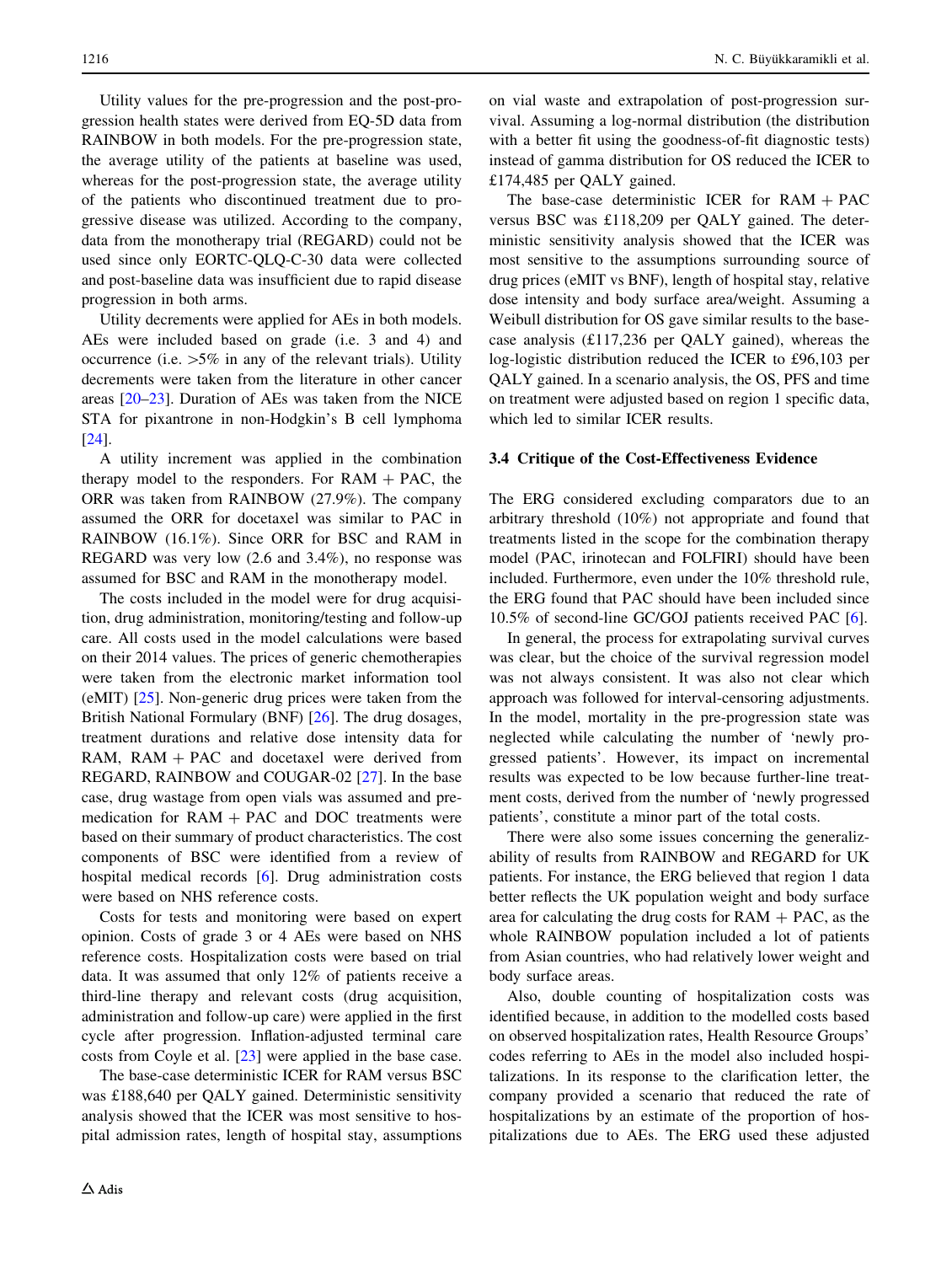Utility values for the pre-progression and the post-progression health states were derived from EQ-5D data from RAINBOW in both models. For the pre-progression state, the average utility of the patients at baseline was used, whereas for the post-progression state, the average utility of the patients who discontinued treatment due to progressive disease was utilized. According to the company, data from the monotherapy trial (REGARD) could not be used since only EORTC-QLQ-C-30 data were collected and post-baseline data was insufficient due to rapid disease progression in both arms.

Utility decrements were applied for AEs in both models. AEs were included based on grade (i.e. 3 and 4) and occurrence (i.e.  $>5\%$  in any of the relevant trials). Utility decrements were taken from the literature in other cancer areas [\[20–23](#page-10-0)]. Duration of AEs was taken from the NICE STA for pixantrone in non-Hodgkin's B cell lymphoma [\[24](#page-10-0)].

A utility increment was applied in the combination therapy model to the responders. For  $RAM + PAC$ , the ORR was taken from RAINBOW (27.9%). The company assumed the ORR for docetaxel was similar to PAC in RAINBOW (16.1%). Since ORR for BSC and RAM in REGARD was very low (2.6 and 3.4%), no response was assumed for BSC and RAM in the monotherapy model.

The costs included in the model were for drug acquisition, drug administration, monitoring/testing and follow-up care. All costs used in the model calculations were based on their 2014 values. The prices of generic chemotherapies were taken from the electronic market information tool (eMIT) [[25\]](#page-10-0). Non-generic drug prices were taken from the British National Formulary (BNF) [\[26](#page-10-0)]. The drug dosages, treatment durations and relative dose intensity data for RAM,  $RAM + PAC$  and docetaxel were derived from REGARD, RAINBOW and COUGAR-02 [\[27](#page-10-0)]. In the base case, drug wastage from open vials was assumed and premedication for  $RAM + PAC$  and  $DOC$  treatments were based on their summary of product characteristics. The cost components of BSC were identified from a review of hospital medical records [[6\]](#page-9-0). Drug administration costs were based on NHS reference costs.

Costs for tests and monitoring were based on expert opinion. Costs of grade 3 or 4 AEs were based on NHS reference costs. Hospitalization costs were based on trial data. It was assumed that only 12% of patients receive a third-line therapy and relevant costs (drug acquisition, administration and follow-up care) were applied in the first cycle after progression. Inflation-adjusted terminal care costs from Coyle et al. [\[23](#page-10-0)] were applied in the base case.

The base-case deterministic ICER for RAM versus BSC was £188,640 per QALY gained. Deterministic sensitivity analysis showed that the ICER was most sensitive to hospital admission rates, length of hospital stay, assumptions on vial waste and extrapolation of post-progression survival. Assuming a log-normal distribution (the distribution with a better fit using the goodness-of-fit diagnostic tests) instead of gamma distribution for OS reduced the ICER to £174,485 per QALY gained.

The base-case deterministic ICER for  $RAM + PAC$ versus BSC was £118,209 per QALY gained. The deterministic sensitivity analysis showed that the ICER was most sensitive to the assumptions surrounding source of drug prices (eMIT vs BNF), length of hospital stay, relative dose intensity and body surface area/weight. Assuming a Weibull distribution for OS gave similar results to the basecase analysis (£117,236 per QALY gained), whereas the log-logistic distribution reduced the ICER to £96,103 per QALY gained. In a scenario analysis, the OS, PFS and time on treatment were adjusted based on region 1 specific data, which led to similar ICER results.

#### 3.4 Critique of the Cost-Effectiveness Evidence

The ERG considered excluding comparators due to an arbitrary threshold (10%) not appropriate and found that treatments listed in the scope for the combination therapy model (PAC, irinotecan and FOLFIRI) should have been included. Furthermore, even under the 10% threshold rule, the ERG found that PAC should have been included since 10.5% of second-line GC/GOJ patients received PAC [\[6](#page-9-0)].

In general, the process for extrapolating survival curves was clear, but the choice of the survival regression model was not always consistent. It was also not clear which approach was followed for interval-censoring adjustments. In the model, mortality in the pre-progression state was neglected while calculating the number of 'newly progressed patients'. However, its impact on incremental results was expected to be low because further-line treatment costs, derived from the number of 'newly progressed patients', constitute a minor part of the total costs.

There were also some issues concerning the generalizability of results from RAINBOW and REGARD for UK patients. For instance, the ERG believed that region 1 data better reflects the UK population weight and body surface area for calculating the drug costs for  $RAM + PAC$ , as the whole RAINBOW population included a lot of patients from Asian countries, who had relatively lower weight and body surface areas.

Also, double counting of hospitalization costs was identified because, in addition to the modelled costs based on observed hospitalization rates, Health Resource Groups' codes referring to AEs in the model also included hospitalizations. In its response to the clarification letter, the company provided a scenario that reduced the rate of hospitalizations by an estimate of the proportion of hospitalizations due to AEs. The ERG used these adjusted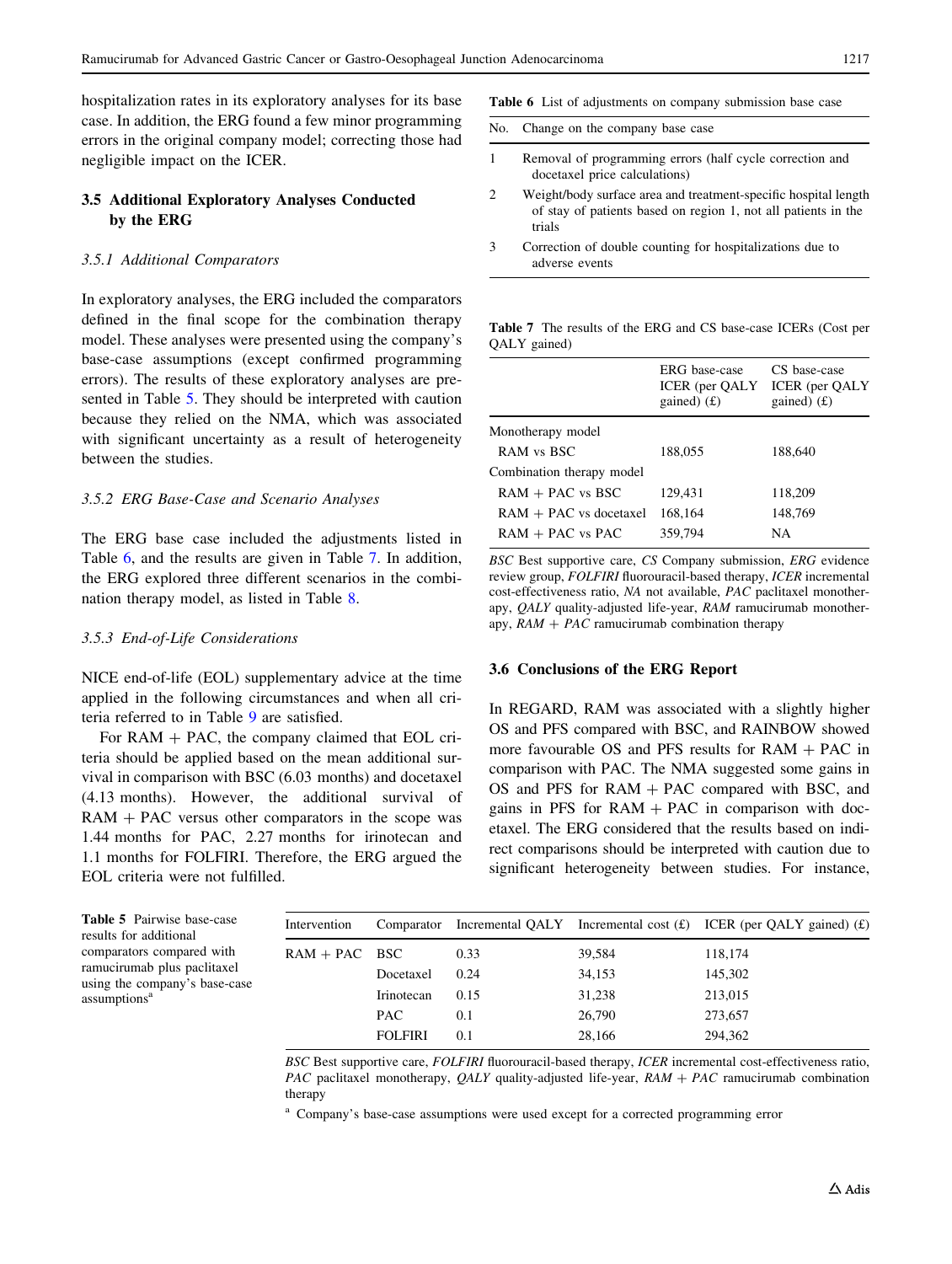hospitalization rates in its exploratory analyses for its base case. In addition, the ERG found a few minor programming errors in the original company model; correcting those had negligible impact on the ICER.

# 3.5 Additional Exploratory Analyses Conducted by the ERG

## 3.5.1 Additional Comparators

In exploratory analyses, the ERG included the comparators defined in the final scope for the combination therapy model. These analyses were presented using the company's base-case assumptions (except confirmed programming errors). The results of these exploratory analyses are presented in Table 5. They should be interpreted with caution because they relied on the NMA, which was associated with significant uncertainty as a result of heterogeneity between the studies.

## 3.5.2 ERG Base-Case and Scenario Analyses

The ERG base case included the adjustments listed in Table 6, and the results are given in Table 7. In addition, the ERG explored three different scenarios in the combination therapy model, as listed in Table [8.](#page-7-0)

#### 3.5.3 End-of-Life Considerations

NICE end-of-life (EOL) supplementary advice at the time applied in the following circumstances and when all criteria referred to in Table [9](#page-7-0) are satisfied.

For  $RAM + PAC$ , the company claimed that EOL criteria should be applied based on the mean additional survival in comparison with BSC (6.03 months) and docetaxel (4.13 months). However, the additional survival of  $RAM + PAC$  versus other comparators in the scope was 1.44 months for PAC, 2.27 months for irinotecan and 1.1 months for FOLFIRI. Therefore, the ERG argued the EOL criteria were not fulfilled.

Table 6 List of adjustments on company submission base case

No. Change on the company base case

- 1 Removal of programming errors (half cycle correction and docetaxel price calculations)
- 2 Weight/body surface area and treatment-specific hospital length of stay of patients based on region 1, not all patients in the trials
- 3 Correction of double counting for hospitalizations due to adverse events

Table 7 The results of the ERG and CS base-case ICERs (Cost per QALY gained)

|                           | ERG base-case<br><b>ICER</b> (per QALY<br>gained) $(f)$ | CS base-case<br><b>ICER</b> (per QALY<br>gained) $(f)$ |
|---------------------------|---------------------------------------------------------|--------------------------------------------------------|
| Monotherapy model         |                                                         |                                                        |
| RAM vs BSC                | 188,055                                                 | 188.640                                                |
| Combination therapy model |                                                         |                                                        |
| $RAM + PAC$ vs BSC        | 129.431                                                 | 118,209                                                |
| $RAM + PAC$ vs docetaxel  | 168.164                                                 | 148,769                                                |
| $RAM + PAC$ vs PAC        | 359.794                                                 | NΑ                                                     |

BSC Best supportive care, CS Company submission, ERG evidence review group, FOLFIRI fluorouracil-based therapy, ICER incremental cost-effectiveness ratio, NA not available, PAC paclitaxel monotherapy, QALY quality-adjusted life-year, RAM ramucirumab monotherapy,  $RAM + PAC$  ramucirumab combination therapy

## 3.6 Conclusions of the ERG Report

In REGARD, RAM was associated with a slightly higher OS and PFS compared with BSC, and RAINBOW showed more favourable OS and PFS results for  $RAM + PAC$  in comparison with PAC. The NMA suggested some gains in OS and PFS for  $RAM + PAC$  compared with BSC, and gains in PFS for  $RAM + PAC$  in comparison with docetaxel. The ERG considered that the results based on indirect comparisons should be interpreted with caution due to significant heterogeneity between studies. For instance,

Table 5 Pairwise base-case results for additional comparators compared with ramucirumab plus paclitaxel using the company's base-case assumptions<sup>a</sup>

| Intervention    |                |      |        | Comparator Incremental QALY Incremental cost $(f)$ ICER (per QALY gained) $(f)$ |
|-----------------|----------------|------|--------|---------------------------------------------------------------------------------|
| $RAM + PAC$ BSC |                | 0.33 | 39,584 | 118,174                                                                         |
|                 | Docetaxel      | 0.24 | 34.153 | 145,302                                                                         |
|                 | Irinotecan     | 0.15 | 31,238 | 213,015                                                                         |
|                 | <b>PAC</b>     | 0.1  | 26,790 | 273,657                                                                         |
|                 | <b>FOLFIRI</b> | 0.1  | 28,166 | 294,362                                                                         |
|                 |                |      |        |                                                                                 |

BSC Best supportive care, FOLFIRI fluorouracil-based therapy, ICER incremental cost-effectiveness ratio, PAC paclitaxel monotherapy, QALY quality-adjusted life-year,  $RAM + PAC$  ramucirumab combination therapy

<sup>a</sup> Company's base-case assumptions were used except for a corrected programming error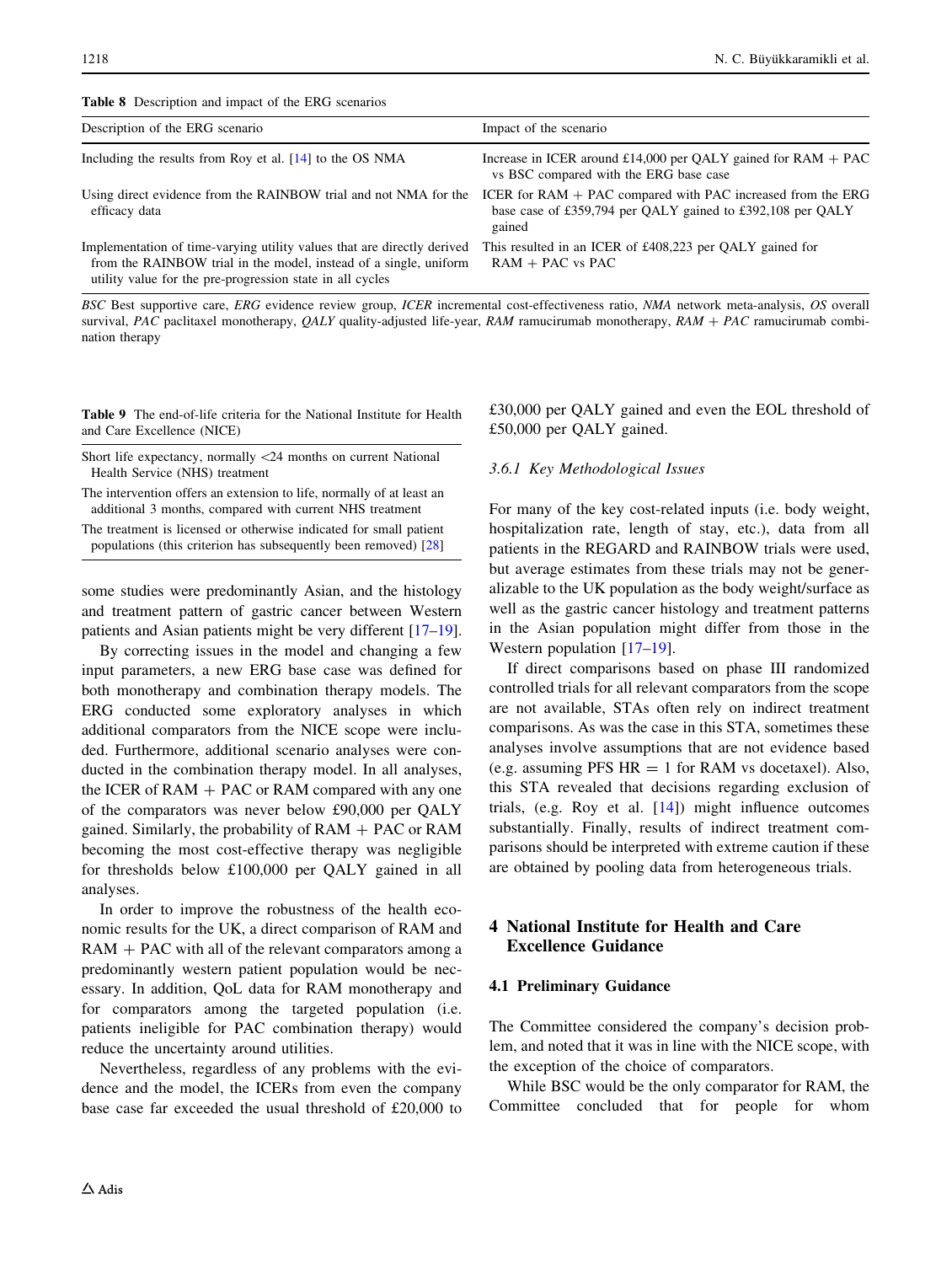<span id="page-7-0"></span>Table 8 Description and impact of the ERG scenarios

| Description of the ERG scenario                                                                                                                                                                           | Impact of the scenario                                                                                                                |
|-----------------------------------------------------------------------------------------------------------------------------------------------------------------------------------------------------------|---------------------------------------------------------------------------------------------------------------------------------------|
| Including the results from Roy et al. [14] to the OS NMA                                                                                                                                                  | Increase in ICER around £14,000 per QALY gained for $RAM + PAC$<br>vs BSC compared with the ERG base case                             |
| Using direct evidence from the RAINBOW trial and not NMA for the<br>efficacy data                                                                                                                         | ICER for $RAM + PAC$ compared with PAC increased from the ERG<br>base case of £359,794 per QALY gained to £392,108 per QALY<br>gained |
| Implementation of time-varying utility values that are directly derived<br>from the RAINBOW trial in the model, instead of a single, uniform<br>utility value for the pre-progression state in all cycles | This resulted in an ICER of £408,223 per QALY gained for<br>$RAM + PAC$ vs $PAC$                                                      |

BSC Best supportive care, ERG evidence review group, ICER incremental cost-effectiveness ratio, NMA network meta-analysis, OS overall survival, PAC paclitaxel monotherapy, QALY quality-adjusted life-year, RAM ramucirumab monotherapy, RAM + PAC ramucirumab combination therapy

Table 9 The end-of-life criteria for the National Institute for Health and Care Excellence (NICE)

The intervention offers an extension to life, normally of at least an additional 3 months, compared with current NHS treatment

The treatment is licensed or otherwise indicated for small patient populations (this criterion has subsequently been removed) [[28](#page-10-0)]

some studies were predominantly Asian, and the histology and treatment pattern of gastric cancer between Western patients and Asian patients might be very different [\[17–19](#page-10-0)].

By correcting issues in the model and changing a few input parameters, a new ERG base case was defined for both monotherapy and combination therapy models. The ERG conducted some exploratory analyses in which additional comparators from the NICE scope were included. Furthermore, additional scenario analyses were conducted in the combination therapy model. In all analyses, the ICER of  $RAM + PAC$  or  $RAM$  compared with any one of the comparators was never below £90,000 per QALY gained. Similarly, the probability of  $RAM + PAC$  or  $RAM$ becoming the most cost-effective therapy was negligible for thresholds below £100,000 per QALY gained in all analyses.

In order to improve the robustness of the health economic results for the UK, a direct comparison of RAM and  $RAM + PAC$  with all of the relevant comparators among a predominantly western patient population would be necessary. In addition, QoL data for RAM monotherapy and for comparators among the targeted population (i.e. patients ineligible for PAC combination therapy) would reduce the uncertainty around utilities.

Nevertheless, regardless of any problems with the evidence and the model, the ICERs from even the company base case far exceeded the usual threshold of £20,000 to

£30,000 per QALY gained and even the EOL threshold of £50,000 per QALY gained.

## 3.6.1 Key Methodological Issues

For many of the key cost-related inputs (i.e. body weight, hospitalization rate, length of stay, etc.), data from all patients in the REGARD and RAINBOW trials were used, but average estimates from these trials may not be generalizable to the UK population as the body weight/surface as well as the gastric cancer histology and treatment patterns in the Asian population might differ from those in the Western population [\[17–19](#page-10-0)].

If direct comparisons based on phase III randomized controlled trials for all relevant comparators from the scope are not available, STAs often rely on indirect treatment comparisons. As was the case in this STA, sometimes these analyses involve assumptions that are not evidence based (e.g. assuming PFS  $HR = 1$  for RAM vs docetaxel). Also, this STA revealed that decisions regarding exclusion of trials, (e.g. Roy et al. [\[14](#page-9-0)]) might influence outcomes substantially. Finally, results of indirect treatment comparisons should be interpreted with extreme caution if these are obtained by pooling data from heterogeneous trials.

# 4 National Institute for Health and Care Excellence Guidance

## 4.1 Preliminary Guidance

The Committee considered the company's decision problem, and noted that it was in line with the NICE scope, with the exception of the choice of comparators.

While BSC would be the only comparator for RAM, the Committee concluded that for people for whom

Short life expectancy, normally \24 months on current National Health Service (NHS) treatment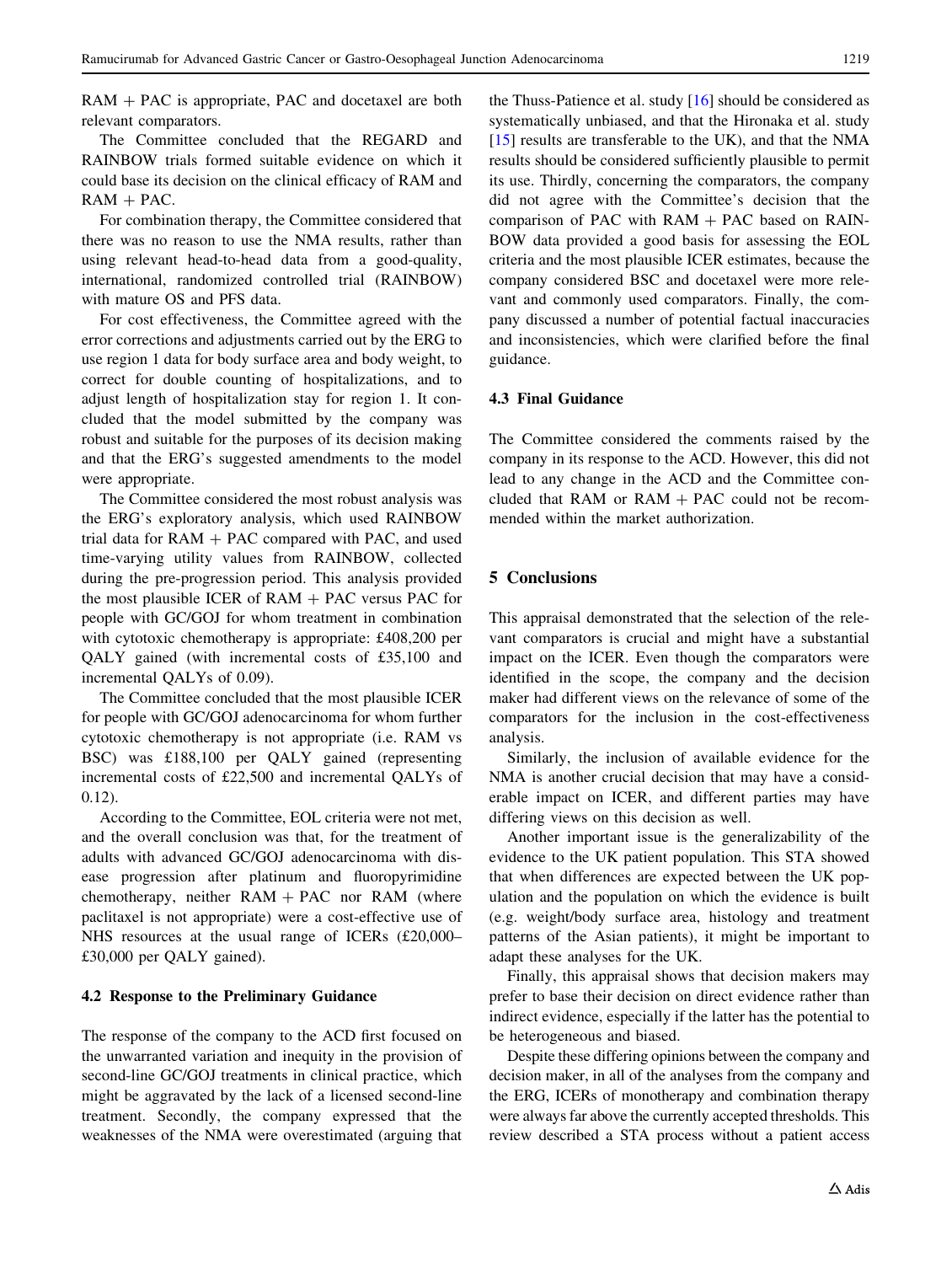$RAM + PAC$  is appropriate, PAC and docetaxel are both relevant comparators.

The Committee concluded that the REGARD and RAINBOW trials formed suitable evidence on which it could base its decision on the clinical efficacy of RAM and  $RAM + PAC.$ 

For combination therapy, the Committee considered that there was no reason to use the NMA results, rather than using relevant head-to-head data from a good-quality, international, randomized controlled trial (RAINBOW) with mature OS and PFS data.

For cost effectiveness, the Committee agreed with the error corrections and adjustments carried out by the ERG to use region 1 data for body surface area and body weight, to correct for double counting of hospitalizations, and to adjust length of hospitalization stay for region 1. It concluded that the model submitted by the company was robust and suitable for the purposes of its decision making and that the ERG's suggested amendments to the model were appropriate.

The Committee considered the most robust analysis was the ERG's exploratory analysis, which used RAINBOW trial data for  $RAM + PAC$  compared with PAC, and used time-varying utility values from RAINBOW, collected during the pre-progression period. This analysis provided the most plausible ICER of  $RAM + PAC$  versus PAC for people with GC/GOJ for whom treatment in combination with cytotoxic chemotherapy is appropriate: £408,200 per QALY gained (with incremental costs of £35,100 and incremental QALYs of 0.09).

The Committee concluded that the most plausible ICER for people with GC/GOJ adenocarcinoma for whom further cytotoxic chemotherapy is not appropriate (i.e. RAM vs BSC) was £188,100 per QALY gained (representing incremental costs of £22,500 and incremental QALYs of 0.12).

According to the Committee, EOL criteria were not met, and the overall conclusion was that, for the treatment of adults with advanced GC/GOJ adenocarcinoma with disease progression after platinum and fluoropyrimidine chemotherapy, neither  $RAM + PAC$  nor  $RAM$  (where paclitaxel is not appropriate) were a cost-effective use of NHS resources at the usual range of ICERs (£20,000– £30,000 per QALY gained).

## 4.2 Response to the Preliminary Guidance

The response of the company to the ACD first focused on the unwarranted variation and inequity in the provision of second-line GC/GOJ treatments in clinical practice, which might be aggravated by the lack of a licensed second-line treatment. Secondly, the company expressed that the weaknesses of the NMA were overestimated (arguing that the Thuss-Patience et al. study [[16\]](#page-9-0) should be considered as systematically unbiased, and that the Hironaka et al. study [\[15](#page-9-0)] results are transferable to the UK), and that the NMA results should be considered sufficiently plausible to permit its use. Thirdly, concerning the comparators, the company did not agree with the Committee's decision that the comparison of PAC with  $RAM + PAC$  based on RAIN-BOW data provided a good basis for assessing the EOL criteria and the most plausible ICER estimates, because the company considered BSC and docetaxel were more relevant and commonly used comparators. Finally, the company discussed a number of potential factual inaccuracies and inconsistencies, which were clarified before the final guidance.

## 4.3 Final Guidance

The Committee considered the comments raised by the company in its response to the ACD. However, this did not lead to any change in the ACD and the Committee concluded that RAM or  $RAM + PAC$  could not be recommended within the market authorization.

# 5 Conclusions

This appraisal demonstrated that the selection of the relevant comparators is crucial and might have a substantial impact on the ICER. Even though the comparators were identified in the scope, the company and the decision maker had different views on the relevance of some of the comparators for the inclusion in the cost-effectiveness analysis.

Similarly, the inclusion of available evidence for the NMA is another crucial decision that may have a considerable impact on ICER, and different parties may have differing views on this decision as well.

Another important issue is the generalizability of the evidence to the UK patient population. This STA showed that when differences are expected between the UK population and the population on which the evidence is built (e.g. weight/body surface area, histology and treatment patterns of the Asian patients), it might be important to adapt these analyses for the UK.

Finally, this appraisal shows that decision makers may prefer to base their decision on direct evidence rather than indirect evidence, especially if the latter has the potential to be heterogeneous and biased.

Despite these differing opinions between the company and decision maker, in all of the analyses from the company and the ERG, ICERs of monotherapy and combination therapy were always far above the currently accepted thresholds. This review described a STA process without a patient access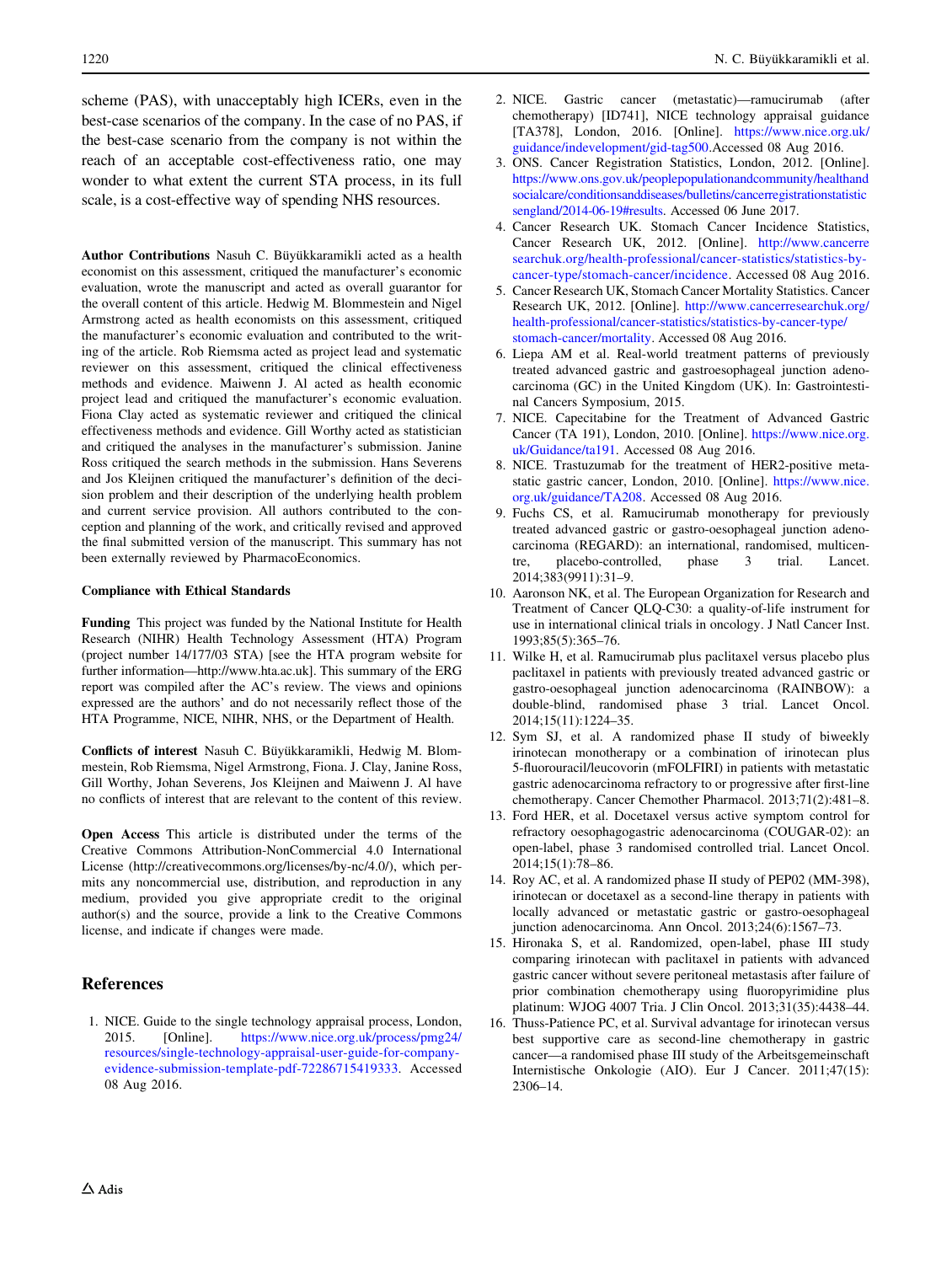<span id="page-9-0"></span>scheme (PAS), with unacceptably high ICERs, even in the best-case scenarios of the company. In the case of no PAS, if the best-case scenario from the company is not within the reach of an acceptable cost-effectiveness ratio, one may wonder to what extent the current STA process, in its full scale, is a cost-effective way of spending NHS resources.

Author Contributions Nasuh C. Büyükkaramikli acted as a health economist on this assessment, critiqued the manufacturer's economic evaluation, wrote the manuscript and acted as overall guarantor for the overall content of this article. Hedwig M. Blommestein and Nigel Armstrong acted as health economists on this assessment, critiqued the manufacturer's economic evaluation and contributed to the writing of the article. Rob Riemsma acted as project lead and systematic reviewer on this assessment, critiqued the clinical effectiveness methods and evidence. Maiwenn J. Al acted as health economic project lead and critiqued the manufacturer's economic evaluation. Fiona Clay acted as systematic reviewer and critiqued the clinical effectiveness methods and evidence. Gill Worthy acted as statistician and critiqued the analyses in the manufacturer's submission. Janine Ross critiqued the search methods in the submission. Hans Severens and Jos Kleijnen critiqued the manufacturer's definition of the decision problem and their description of the underlying health problem and current service provision. All authors contributed to the conception and planning of the work, and critically revised and approved the final submitted version of the manuscript. This summary has not been externally reviewed by PharmacoEconomics.

## Compliance with Ethical Standards

Funding This project was funded by the National Institute for Health Research (NIHR) Health Technology Assessment (HTA) Program (project number 14/177/03 STA) [see the HTA program website for further information—http://www.hta.ac.uk]. This summary of the ERG report was compiled after the AC's review. The views and opinions expressed are the authors' and do not necessarily reflect those of the HTA Programme, NICE, NIHR, NHS, or the Department of Health.

Conflicts of interest Nasuh C. Büyükkaramikli, Hedwig M. Blommestein, Rob Riemsma, Nigel Armstrong, Fiona. J. Clay, Janine Ross, Gill Worthy, Johan Severens, Jos Kleijnen and Maiwenn J. Al have no conflicts of interest that are relevant to the content of this review.

Open Access This article is distributed under the terms of the Creative Commons Attribution-NonCommercial 4.0 International License (http://creativecommons.org/licenses/by-nc/4.0/), which permits any noncommercial use, distribution, and reproduction in any medium, provided you give appropriate credit to the original author(s) and the source, provide a link to the Creative Commons license, and indicate if changes were made.

## References

1. NICE. Guide to the single technology appraisal process, London, 2015. [Online]. [https://www.nice.org.uk/process/pmg24/](https://www.nice.org.uk/process/pmg24/resources/single-technology-appraisal-user-guide-for-company-evidence-submission-template-pdf-72286715419333) [resources/single-technology-appraisal-user-guide-for-company](https://www.nice.org.uk/process/pmg24/resources/single-technology-appraisal-user-guide-for-company-evidence-submission-template-pdf-72286715419333)[evidence-submission-template-pdf-72286715419333](https://www.nice.org.uk/process/pmg24/resources/single-technology-appraisal-user-guide-for-company-evidence-submission-template-pdf-72286715419333). Accessed 08 Aug 2016.

- 2. NICE. Gastric cancer (metastatic)—ramucirumab (after chemotherapy) [ID741], NICE technology appraisal guidance [TA378], London, 2016. [Online]. [https://www.nice.org.uk/](https://www.nice.org.uk/guidance/indevelopment/gid-tag500) [guidance/indevelopment/gid-tag500.](https://www.nice.org.uk/guidance/indevelopment/gid-tag500)Accessed 08 Aug 2016.
- 3. ONS. Cancer Registration Statistics, London, 2012. [Online]. [https://www.ons.gov.uk/peoplepopulationandcommunity/healthand](https://www.ons.gov.uk/peoplepopulationandcommunity/healthandsocialcare/conditionsanddiseases/bulletins/cancerregistrationstatisticsengland/2014-06-19%23results) [socialcare/conditionsanddiseases/bulletins/cancerregistrationstatistic](https://www.ons.gov.uk/peoplepopulationandcommunity/healthandsocialcare/conditionsanddiseases/bulletins/cancerregistrationstatisticsengland/2014-06-19%23results) [sengland/2014-06-19#results.](https://www.ons.gov.uk/peoplepopulationandcommunity/healthandsocialcare/conditionsanddiseases/bulletins/cancerregistrationstatisticsengland/2014-06-19%23results) Accessed 06 June 2017.
- 4. Cancer Research UK. Stomach Cancer Incidence Statistics, Cancer Research UK, 2012. [Online]. [http://www.cancerre](http://www.cancerresearchuk.org/health-professional/cancer-statistics/statistics-by-cancer-type/stomach-cancer/incidence) [searchuk.org/health-professional/cancer-statistics/statistics-by](http://www.cancerresearchuk.org/health-professional/cancer-statistics/statistics-by-cancer-type/stomach-cancer/incidence)[cancer-type/stomach-cancer/incidence.](http://www.cancerresearchuk.org/health-professional/cancer-statistics/statistics-by-cancer-type/stomach-cancer/incidence) Accessed 08 Aug 2016.
- 5. Cancer Research UK, Stomach Cancer Mortality Statistics. Cancer Research UK, 2012. [Online]. [http://www.cancerresearchuk.org/](http://www.cancerresearchuk.org/health-professional/cancer-statistics/statistics-by-cancer-type/stomach-cancer/mortality) [health-professional/cancer-statistics/statistics-by-cancer-type/](http://www.cancerresearchuk.org/health-professional/cancer-statistics/statistics-by-cancer-type/stomach-cancer/mortality) [stomach-cancer/mortality.](http://www.cancerresearchuk.org/health-professional/cancer-statistics/statistics-by-cancer-type/stomach-cancer/mortality) Accessed 08 Aug 2016.
- 6. Liepa AM et al. Real-world treatment patterns of previously treated advanced gastric and gastroesophageal junction adenocarcinoma (GC) in the United Kingdom (UK). In: Gastrointestinal Cancers Symposium, 2015.
- 7. NICE. Capecitabine for the Treatment of Advanced Gastric Cancer (TA 191), London, 2010. [Online]. [https://www.nice.org.](https://www.nice.org.uk/Guidance/ta191) [uk/Guidance/ta191](https://www.nice.org.uk/Guidance/ta191). Accessed 08 Aug 2016.
- 8. NICE. Trastuzumab for the treatment of HER2-positive metastatic gastric cancer, London, 2010. [Online]. [https://www.nice.](https://www.nice.org.uk/guidance/TA208) [org.uk/guidance/TA208](https://www.nice.org.uk/guidance/TA208). Accessed 08 Aug 2016.
- 9. Fuchs CS, et al. Ramucirumab monotherapy for previously treated advanced gastric or gastro-oesophageal junction adenocarcinoma (REGARD): an international, randomised, multicentre, placebo-controlled, phase 3 trial. Lancet. 2014;383(9911):31–9.
- 10. Aaronson NK, et al. The European Organization for Research and Treatment of Cancer QLQ-C30: a quality-of-life instrument for use in international clinical trials in oncology. J Natl Cancer Inst. 1993;85(5):365–76.
- 11. Wilke H, et al. Ramucirumab plus paclitaxel versus placebo plus paclitaxel in patients with previously treated advanced gastric or gastro-oesophageal junction adenocarcinoma (RAINBOW): a double-blind, randomised phase 3 trial. Lancet Oncol. 2014;15(11):1224–35.
- 12. Sym SJ, et al. A randomized phase II study of biweekly irinotecan monotherapy or a combination of irinotecan plus 5-fluorouracil/leucovorin (mFOLFIRI) in patients with metastatic gastric adenocarcinoma refractory to or progressive after first-line chemotherapy. Cancer Chemother Pharmacol. 2013;71(2):481–8.
- 13. Ford HER, et al. Docetaxel versus active symptom control for refractory oesophagogastric adenocarcinoma (COUGAR-02): an open-label, phase 3 randomised controlled trial. Lancet Oncol. 2014;15(1):78–86.
- 14. Roy AC, et al. A randomized phase II study of PEP02 (MM-398), irinotecan or docetaxel as a second-line therapy in patients with locally advanced or metastatic gastric or gastro-oesophageal junction adenocarcinoma. Ann Oncol. 2013;24(6):1567–73.
- 15. Hironaka S, et al. Randomized, open-label, phase III study comparing irinotecan with paclitaxel in patients with advanced gastric cancer without severe peritoneal metastasis after failure of prior combination chemotherapy using fluoropyrimidine plus platinum: WJOG 4007 Tria. J Clin Oncol. 2013;31(35):4438–44.
- 16. Thuss-Patience PC, et al. Survival advantage for irinotecan versus best supportive care as second-line chemotherapy in gastric cancer—a randomised phase III study of the Arbeitsgemeinschaft Internistische Onkologie (AIO). Eur J Cancer. 2011;47(15): 2306–14.